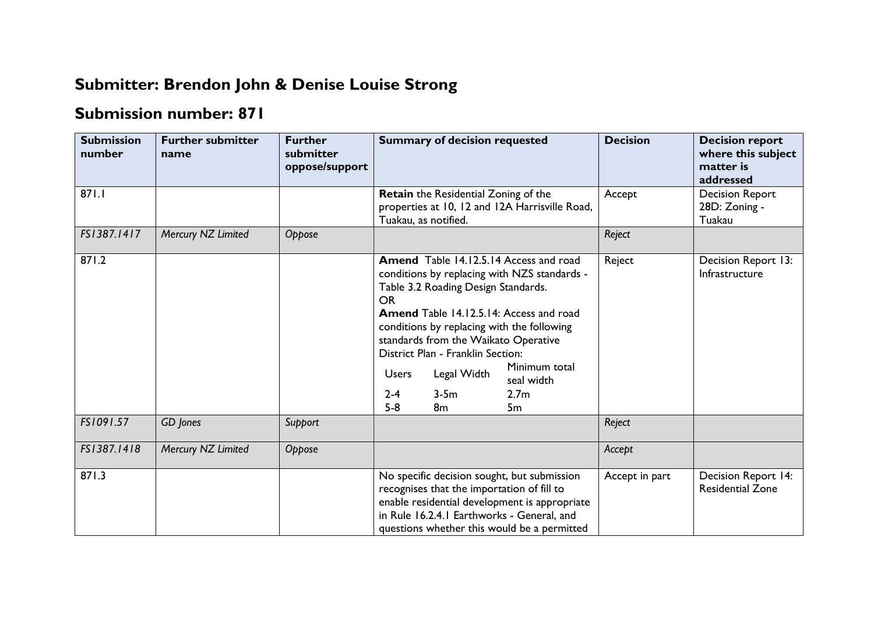## **Submitter: Brendon John & Denise Louise Strong**

## **Submission number: 871**

| <b>Submission</b><br>number | <b>Further submitter</b><br>name | <b>Further</b><br>submitter<br>oppose/support | <b>Summary of decision requested</b>                                                                                                                                                                                                                                                                                                                                                                                                                            | <b>Decision</b> | <b>Decision report</b><br>where this subject<br>matter is<br>addressed |
|-----------------------------|----------------------------------|-----------------------------------------------|-----------------------------------------------------------------------------------------------------------------------------------------------------------------------------------------------------------------------------------------------------------------------------------------------------------------------------------------------------------------------------------------------------------------------------------------------------------------|-----------------|------------------------------------------------------------------------|
| 871.1                       |                                  |                                               | Retain the Residential Zoning of the<br>properties at 10, 12 and 12A Harrisville Road,<br>Tuakau, as notified.                                                                                                                                                                                                                                                                                                                                                  | Accept          | <b>Decision Report</b><br>28D: Zoning -<br>Tuakau                      |
| FS1387.1417                 | Mercury NZ Limited               | Oppose                                        |                                                                                                                                                                                                                                                                                                                                                                                                                                                                 | Reject          |                                                                        |
| 871.2                       |                                  |                                               | Amend Table 14.12.5.14 Access and road<br>conditions by replacing with NZS standards -<br>Table 3.2 Roading Design Standards.<br><b>OR</b><br><b>Amend</b> Table 14.12.5.14: Access and road<br>conditions by replacing with the following<br>standards from the Waikato Operative<br>District Plan - Franklin Section:<br>Minimum total<br>Legal Width<br><b>Users</b><br>seal width<br>$3-5m$<br>$2 - 4$<br>2.7 <sub>m</sub><br>$5-8$<br>8 <sub>m</sub><br>5m | Reject          | Decision Report 13:<br>Infrastructure                                  |
| FS1091.57                   | <b>GD</b> Jones                  | Support                                       |                                                                                                                                                                                                                                                                                                                                                                                                                                                                 | Reject          |                                                                        |
| FS1387.1418                 | Mercury NZ Limited               | Oppose                                        |                                                                                                                                                                                                                                                                                                                                                                                                                                                                 | Accept          |                                                                        |
| 871.3                       |                                  |                                               | No specific decision sought, but submission<br>recognises that the importation of fill to<br>enable residential development is appropriate<br>in Rule 16.2.4.1 Earthworks - General, and<br>questions whether this would be a permitted                                                                                                                                                                                                                         | Accept in part  | Decision Report 14:<br><b>Residential Zone</b>                         |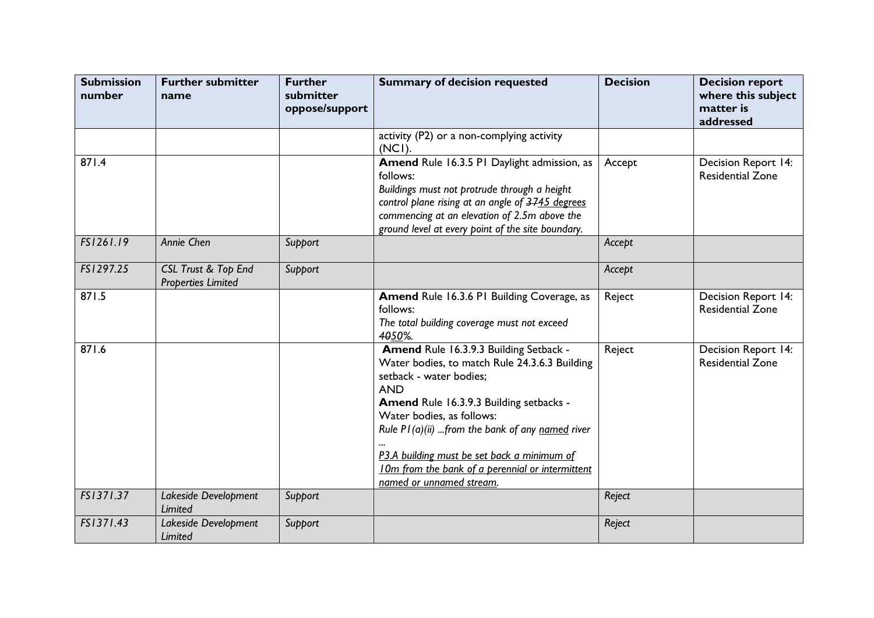| <b>Submission</b><br>number | <b>Further submitter</b><br>name                            | <b>Further</b><br>submitter<br>oppose/support | <b>Summary of decision requested</b>                                                                                                                                                                                                                                                                                                                                                         | <b>Decision</b> | <b>Decision report</b><br>where this subject<br>matter is<br>addressed |
|-----------------------------|-------------------------------------------------------------|-----------------------------------------------|----------------------------------------------------------------------------------------------------------------------------------------------------------------------------------------------------------------------------------------------------------------------------------------------------------------------------------------------------------------------------------------------|-----------------|------------------------------------------------------------------------|
|                             |                                                             |                                               | activity (P2) or a non-complying activity<br>$(NCI)$ .                                                                                                                                                                                                                                                                                                                                       |                 |                                                                        |
| 871.4                       |                                                             |                                               | Amend Rule 16.3.5 P1 Daylight admission, as<br>follows:<br>Buildings must not protrude through a height<br>control plane rising at an angle of 3745 degrees<br>commencing at an elevation of 2.5m above the<br>ground level at every point of the site boundary.                                                                                                                             | Accept          | Decision Report 14:<br><b>Residential Zone</b>                         |
| FS1261.19                   | Annie Chen                                                  | Support                                       |                                                                                                                                                                                                                                                                                                                                                                                              | Accept          |                                                                        |
| FS1297.25                   | <b>CSL Trust &amp; Top End</b><br><b>Properties Limited</b> | Support                                       |                                                                                                                                                                                                                                                                                                                                                                                              | Accept          |                                                                        |
| 871.5                       |                                                             |                                               | Amend Rule 16.3.6 PI Building Coverage, as<br>follows:<br>The total building coverage must not exceed<br>4050%.                                                                                                                                                                                                                                                                              | Reject          | Decision Report 14:<br><b>Residential Zone</b>                         |
| 871.6                       |                                                             |                                               | Amend Rule 16.3.9.3 Building Setback -<br>Water bodies, to match Rule 24.3.6.3 Building<br>setback - water bodies;<br><b>AND</b><br>Amend Rule 16.3.9.3 Building setbacks -<br>Water bodies, as follows:<br>Rule $PI(a)(ii)$ from the bank of any named river<br>P3.A building must be set back a minimum of<br>10m from the bank of a perennial or intermittent<br>named or unnamed stream. | Reject          | Decision Report 14:<br><b>Residential Zone</b>                         |
| FS1371.37                   | Lakeside Development<br>Limited                             | Support                                       |                                                                                                                                                                                                                                                                                                                                                                                              | Reject          |                                                                        |
| FS1371.43                   | Lakeside Development<br>Limited                             | Support                                       |                                                                                                                                                                                                                                                                                                                                                                                              | Reject          |                                                                        |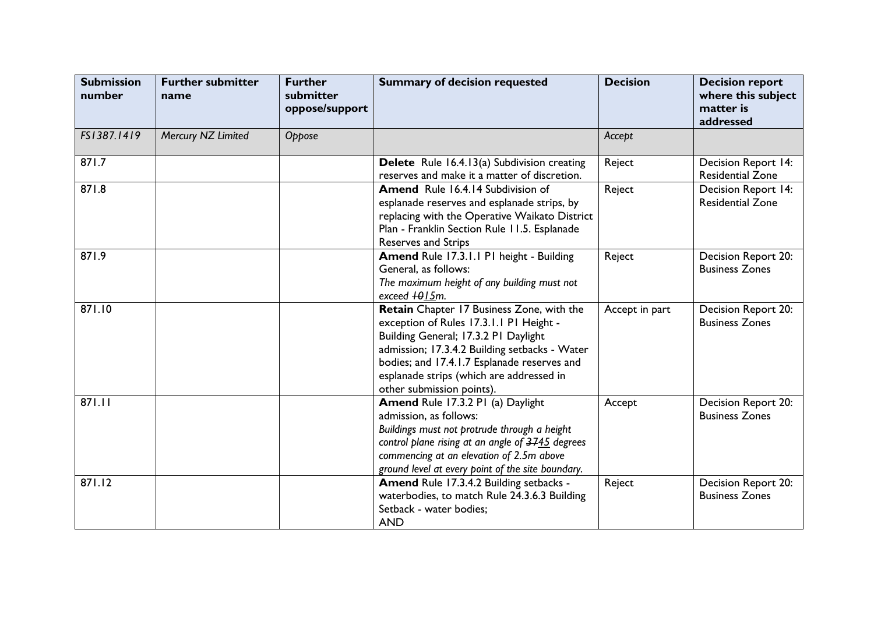| <b>Submission</b><br>number | <b>Further submitter</b><br>name | <b>Further</b><br>submitter<br>oppose/support | <b>Summary of decision requested</b>                                                                                                                                                                                                                                                                  | <b>Decision</b> | <b>Decision report</b><br>where this subject<br>matter is<br>addressed |
|-----------------------------|----------------------------------|-----------------------------------------------|-------------------------------------------------------------------------------------------------------------------------------------------------------------------------------------------------------------------------------------------------------------------------------------------------------|-----------------|------------------------------------------------------------------------|
| FS1387.1419                 | Mercury NZ Limited               | Oppose                                        |                                                                                                                                                                                                                                                                                                       | Accept          |                                                                        |
| 871.7                       |                                  |                                               | <b>Delete</b> Rule 16.4.13(a) Subdivision creating<br>reserves and make it a matter of discretion.                                                                                                                                                                                                    | Reject          | Decision Report 14:<br><b>Residential Zone</b>                         |
| 871.8                       |                                  |                                               | <b>Amend</b> Rule 16.4.14 Subdivision of<br>esplanade reserves and esplanade strips, by<br>replacing with the Operative Waikato District<br>Plan - Franklin Section Rule 11.5. Esplanade<br>Reserves and Strips                                                                                       | Reject          | Decision Report 14:<br><b>Residential Zone</b>                         |
| 871.9                       |                                  |                                               | Amend Rule 17.3.1.1 P1 height - Building<br>General, as follows:<br>The maximum height of any building must not<br>exceed +015m.                                                                                                                                                                      | Reject          | Decision Report 20:<br><b>Business Zones</b>                           |
| 871.10                      |                                  |                                               | Retain Chapter 17 Business Zone, with the<br>exception of Rules 17.3.1.1 P1 Height -<br>Building General; 17.3.2 P1 Daylight<br>admission; 17.3.4.2 Building setbacks - Water<br>bodies; and 17.4.1.7 Esplanade reserves and<br>esplanade strips (which are addressed in<br>other submission points). | Accept in part  | Decision Report 20:<br><b>Business Zones</b>                           |
| 871.11                      |                                  |                                               | Amend Rule 17.3.2 PI (a) Daylight<br>admission, as follows:<br>Buildings must not protrude through a height<br>control plane rising at an angle of 3745 degrees<br>commencing at an elevation of 2.5m above<br>ground level at every point of the site boundary.                                      | Accept          | Decision Report 20:<br><b>Business Zones</b>                           |
| 871.12                      |                                  |                                               | Amend Rule 17.3.4.2 Building setbacks -<br>waterbodies, to match Rule 24.3.6.3 Building<br>Setback - water bodies;<br><b>AND</b>                                                                                                                                                                      | Reject          | Decision Report 20:<br><b>Business Zones</b>                           |